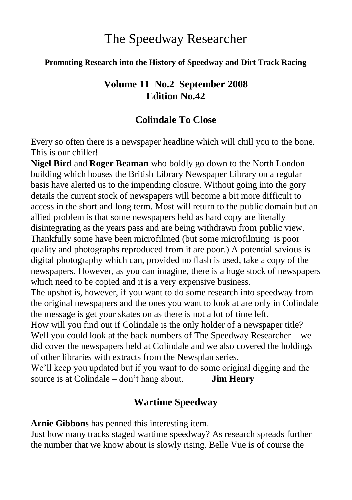# The Speedway Researcher

#### **Promoting Research into the History of Speedway and Dirt Track Racing**

# **Volume 11 No.2 September 2008 Edition No.42**

# **Colindale To Close**

Every so often there is a newspaper headline which will chill you to the bone. This is our chiller!

**Nigel Bird** and **Roger Beaman** who boldly go down to the North London building which houses the British Library Newspaper Library on a regular basis have alerted us to the impending closure. Without going into the gory details the current stock of newspapers will become a bit more difficult to access in the short and long term. Most will return to the public domain but an allied problem is that some newspapers held as hard copy are literally disintegrating as the years pass and are being withdrawn from public view. Thankfully some have been microfilmed (but some microfilming is poor quality and photographs reproduced from it are poor.) A potential savious is digital photography which can, provided no flash is used, take a copy of the newspapers. However, as you can imagine, there is a huge stock of newspapers which need to be copied and it is a very expensive business.

The upshot is, however, if you want to do some research into speedway from the original newspapers and the ones you want to look at are only in Colindale the message is get your skates on as there is not a lot of time left.

How will you find out if Colindale is the only holder of a newspaper title? Well you could look at the back numbers of The Speedway Researcher – we did cover the newspapers held at Colindale and we also covered the holdings of other libraries with extracts from the Newsplan series.

We'll keep you updated but if you want to do some original digging and the source is at Colindale – don't hang about. **Jim Henry**

# **Wartime Speedway**

**Arnie Gibbons** has penned this interesting item.

Just how many tracks staged wartime speedway? As research spreads further the number that we know about is slowly rising. Belle Vue is of course the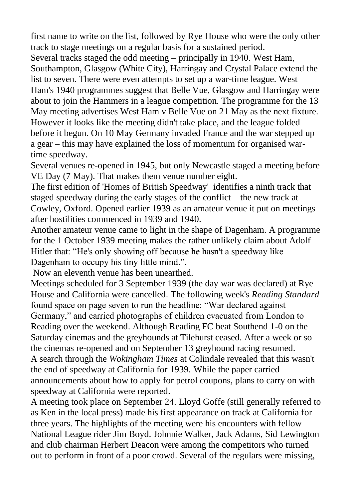first name to write on the list, followed by Rye House who were the only other track to stage meetings on a regular basis for a sustained period.

Several tracks staged the odd meeting – principally in 1940. West Ham, Southampton, Glasgow (White City), Harringay and Crystal Palace extend the list to seven. There were even attempts to set up a war-time league. West Ham's 1940 programmes suggest that Belle Vue, Glasgow and Harringay were about to join the Hammers in a league competition. The programme for the 13 May meeting advertises West Ham v Belle Vue on 21 May as the next fixture. However it looks like the meeting didn't take place, and the league folded before it begun. On 10 May Germany invaded France and the war stepped up a gear – this may have explained the loss of momentum for organised wartime speedway.

Several venues re-opened in 1945, but only Newcastle staged a meeting before VE Day (7 May). That makes them venue number eight.

The first edition of 'Homes of British Speedway' identifies a ninth track that staged speedway during the early stages of the conflict – the new track at Cowley, Oxford. Opened earlier 1939 as an amateur venue it put on meetings after hostilities commenced in 1939 and 1940.

Another amateur venue came to light in the shape of Dagenham. A programme for the 1 October 1939 meeting makes the rather unlikely claim about Adolf Hitler that: "He's only showing off because he hasn't a speedway like Dagenham to occupy his tiny little mind.".

Now an eleventh venue has been unearthed.

Meetings scheduled for 3 September 1939 (the day war was declared) at Rye House and California were cancelled. The following week's *Reading Standard* found space on page seven to run the headline: "War declared against Germany," and carried photographs of children evacuated from London to Reading over the weekend. Although Reading FC beat Southend 1-0 on the Saturday cinemas and the greyhounds at Tilehurst ceased. After a week or so the cinemas re-opened and on September 13 greyhound racing resumed. A search through the *Wokingham Times* at Colindale revealed that this wasn't the end of speedway at California for 1939. While the paper carried announcements about how to apply for petrol coupons, plans to carry on with speedway at California were reported.

A meeting took place on September 24. Lloyd Goffe (still generally referred to as Ken in the local press) made his first appearance on track at California for three years. The highlights of the meeting were his encounters with fellow National League rider Jim Boyd. Johnnie Walker, Jack Adams, Sid Lewington and club chairman Herbert Deacon were among the competitors who turned out to perform in front of a poor crowd. Several of the regulars were missing,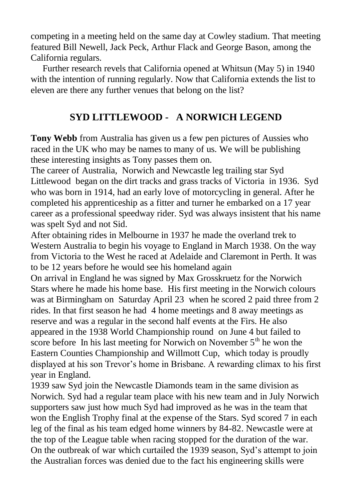competing in a meeting held on the same day at Cowley stadium. That meeting featured Bill Newell, Jack Peck, Arthur Flack and George Bason, among the California regulars.

Further research revels that California opened at Whitsun (May 5) in 1940 with the intention of running regularly. Now that California extends the list to eleven are there any further venues that belong on the list?

# **SYD LITTLEWOOD - A NORWICH LEGEND**

**Tony Webb** from Australia has given us a few pen pictures of Aussies who raced in the UK who may be names to many of us. We will be publishing these interesting insights as Tony passes them on.

The career of Australia, Norwich and Newcastle leg trailing star Syd Littlewood began on the dirt tracks and grass tracks of Victoria in 1936. Syd who was born in 1914, had an early love of motorcycling in general. After he completed his apprenticeship as a fitter and turner he embarked on a 17 year career as a professional speedway rider. Syd was always insistent that his name was spelt Syd and not Sid.

After obtaining rides in Melbourne in 1937 he made the overland trek to Western Australia to begin his voyage to England in March 1938. On the way from Victoria to the West he raced at Adelaide and Claremont in Perth. It was to be 12 years before he would see his homeland again

On arrival in England he was signed by Max Grosskruetz for the Norwich Stars where he made his home base. His first meeting in the Norwich colours was at Birmingham on Saturday April 23 when he scored 2 paid three from 2 rides. In that first season he had 4 home meetings and 8 away meetings as reserve and was a regular in the second half events at the Firs. He also appeared in the 1938 World Championship round on June 4 but failed to score before In his last meeting for Norwich on November  $5<sup>th</sup>$  he won the Eastern Counties Championship and Willmott Cup, which today is proudly displayed at his son Trevor's home in Brisbane. A rewarding climax to his first year in England.

1939 saw Syd join the Newcastle Diamonds team in the same division as Norwich. Syd had a regular team place with his new team and in July Norwich supporters saw just how much Syd had improved as he was in the team that won the English Trophy final at the expense of the Stars. Syd scored 7 in each leg of the final as his team edged home winners by 84-82. Newcastle were at the top of the League table when racing stopped for the duration of the war. On the outbreak of war which curtailed the 1939 season, Syd's attempt to join the Australian forces was denied due to the fact his engineering skills were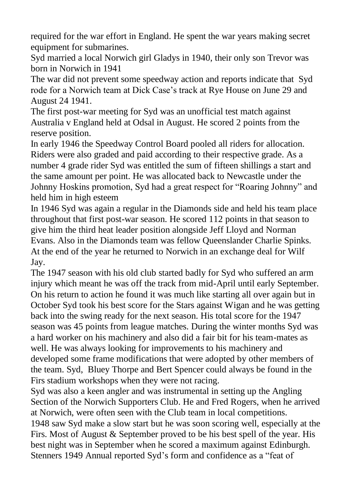required for the war effort in England. He spent the war years making secret equipment for submarines.

Syd married a local Norwich girl Gladys in 1940, their only son Trevor was born in Norwich in 1941

The war did not prevent some speedway action and reports indicate that Syd rode for a Norwich team at Dick Case's track at Rye House on June 29 and August 24 1941.

The first post-war meeting for Syd was an unofficial test match against Australia v England held at Odsal in August. He scored 2 points from the reserve position.

In early 1946 the Speedway Control Board pooled all riders for allocation. Riders were also graded and paid according to their respective grade. As a number 4 grade rider Syd was entitled the sum of fifteen shillings a start and the same amount per point. He was allocated back to Newcastle under the Johnny Hoskins promotion, Syd had a great respect for "Roaring Johnny" and held him in high esteem

In 1946 Syd was again a regular in the Diamonds side and held his team place throughout that first post-war season. He scored 112 points in that season to give him the third heat leader position alongside Jeff Lloyd and Norman Evans. Also in the Diamonds team was fellow Queenslander Charlie Spinks. At the end of the year he returned to Norwich in an exchange deal for Wilf Jay.

The 1947 season with his old club started badly for Syd who suffered an arm injury which meant he was off the track from mid-April until early September. On his return to action he found it was much like starting all over again but in October Syd took his best score for the Stars against Wigan and he was getting back into the swing ready for the next season. His total score for the 1947 season was 45 points from league matches. During the winter months Syd was a hard worker on his machinery and also did a fair bit for his team-mates as well. He was always looking for improvements to his machinery and developed some frame modifications that were adopted by other members of the team. Syd, Bluey Thorpe and Bert Spencer could always be found in the Firs stadium workshops when they were not racing.

Syd was also a keen angler and was instrumental in setting up the Angling Section of the Norwich Supporters Club. He and Fred Rogers, when he arrived at Norwich, were often seen with the Club team in local competitions. 1948 saw Syd make a slow start but he was soon scoring well, especially at the Firs. Most of August & September proved to be his best spell of the year. His best night was in September when he scored a maximum against Edinburgh. Stenners 1949 Annual reported Syd's form and confidence as a "feat of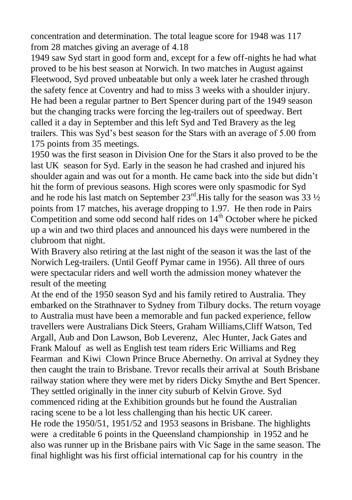concentration and determination. The total league score for 1948 was 117 from 28 matches giving an average of 4.18

1949 saw Syd start in good form and, except for a few off-nights he had what proved to be his best season at Norwich. In two matches in August against Fleetwood, Syd proved unbeatable but only a week later he crashed through the safety fence at Coventry and had to miss 3 weeks with a shoulder injury. He had been a regular partner to Bert Spencer during part of the 1949 season but the changing tracks were forcing the leg-trailers out of speedway. Bert called it a day in September and this left Syd and Ted Bravery as the leg trailers. This was Syd's best season for the Stars with an average of 5.00 from 175 points from 35 meetings.

1950 was the first season in Division One for the Stars it also proved to be the last UK season for Syd. Early in the season he had crashed and injured his shoulder again and was out for a month. He came back into the side but didn't hit the form of previous seasons. High scores were only spasmodic for Syd and he rode his last match on September  $23<sup>rd</sup>$ . His tally for the season was 33  $\frac{1}{2}$ points from 17 matches, his average dropping to 1.97. He then rode in Pairs Competition and some odd second half rides on  $14<sup>th</sup>$  October where he picked up a win and two third places and announced his days were numbered in the clubroom that night.

With Bravery also retiring at the last night of the season it was the last of the Norwich Leg-trailers. (Until Geoff Pymar came in 1956). All three of ours were spectacular riders and well worth the admission money whatever the result of the meeting

At the end of the 1950 season Syd and his family retired to Australia. They embarked on the Strathnaver to Sydney from Tilbury docks. The return voyage to Australia must have been a memorable and fun packed experience, fellow travellers were Australians Dick Steers, Graham Williams,Cliff Watson, Ted Argall, Aub and Don Lawson, Bob Leverenz, Alec Hunter, Jack Gates and Frank Malouf as well as English test team riders Eric Williams and Reg Fearman and Kiwi Clown Prince Bruce Abernethy. On arrival at Sydney they then caught the train to Brisbane. Trevor recalls their arrival at South Brisbane railway station where they were met by riders Dicky Smythe and Bert Spencer. They settled originally in the inner city suburb of Kelvin Grove. Syd commenced riding at the Exhibition grounds but he found the Australian racing scene to be a lot less challenging than his hectic UK career. He rode the 1950/51, 1951/52 and 1953 seasons in Brisbane. The highlights were a creditable 6 points in the Queensland championship in 1952 and he also was runner up in the Brisbane pairs with Vic Sage in the same season. The final highlight was his first official international cap for his country in the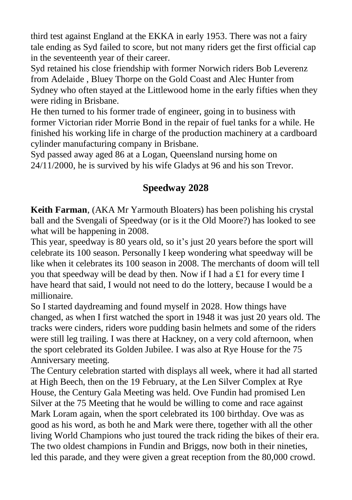third test against England at the EKKA in early 1953. There was not a fairy tale ending as Syd failed to score, but not many riders get the first official cap in the seventeenth year of their career.

Syd retained his close friendship with former Norwich riders Bob Leverenz from Adelaide , Bluey Thorpe on the Gold Coast and Alec Hunter from Sydney who often stayed at the Littlewood home in the early fifties when they were riding in Brisbane.

He then turned to his former trade of engineer, going in to business with former Victorian rider Morrie Bond in the repair of fuel tanks for a while. He finished his working life in charge of the production machinery at a cardboard cylinder manufacturing company in Brisbane.

Syd passed away aged 86 at a Logan, Queensland nursing home on 24/11/2000, he is survived by his wife Gladys at 96 and his son Trevor.

# **Speedway 2028**

**Keith Farman**, (AKA Mr Yarmouth Bloaters) has been polishing his crystal ball and the Svengali of Speedway (or is it the Old Moore?) has looked to see what will be happening in 2008.

This year, speedway is 80 years old, so it's just 20 years before the sport will celebrate its 100 season. Personally I keep wondering what speedway will be like when it celebrates its 100 season in 2008. The merchants of doom will tell you that speedway will be dead by then. Now if I had a £1 for every time I have heard that said, I would not need to do the lottery, because I would be a millionaire.

So I started daydreaming and found myself in 2028. How things have changed, as when I first watched the sport in 1948 it was just 20 years old. The tracks were cinders, riders wore pudding basin helmets and some of the riders were still leg trailing. I was there at Hackney, on a very cold afternoon, when the sport celebrated its Golden Jubilee. I was also at Rye House for the 75 Anniversary meeting.

The Century celebration started with displays all week, where it had all started at High Beech, then on the 19 February, at the Len Silver Complex at Rye House, the Century Gala Meeting was held. Ove Fundin had promised Len Silver at the 75 Meeting that he would be willing to come and race against Mark Loram again, when the sport celebrated its 100 birthday. Ove was as good as his word, as both he and Mark were there, together with all the other living World Champions who just toured the track riding the bikes of their era. The two oldest champions in Fundin and Briggs, now both in their nineties, led this parade, and they were given a great reception from the 80,000 crowd.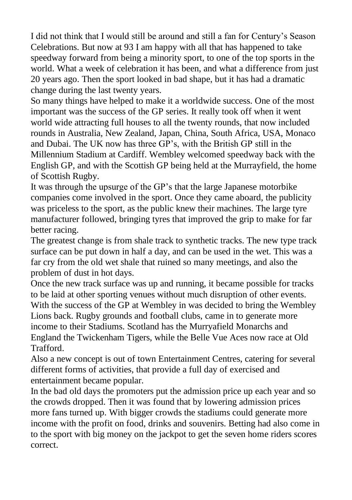I did not think that I would still be around and still a fan for Century's Season Celebrations. But now at 93 I am happy with all that has happened to take speedway forward from being a minority sport, to one of the top sports in the world. What a week of celebration it has been, and what a difference from just 20 years ago. Then the sport looked in bad shape, but it has had a dramatic change during the last twenty years.

So many things have helped to make it a worldwide success. One of the most important was the success of the GP series. It really took off when it went world wide attracting full houses to all the twenty rounds, that now included rounds in Australia, New Zealand, Japan, China, South Africa, USA, Monaco and Dubai. The UK now has three GP's, with the British GP still in the Millennium Stadium at Cardiff. Wembley welcomed speedway back with the English GP, and with the Scottish GP being held at the Murrayfield, the home of Scottish Rugby.

It was through the upsurge of the GP's that the large Japanese motorbike companies come involved in the sport. Once they came aboard, the publicity was priceless to the sport, as the public knew their machines. The large tyre manufacturer followed, bringing tyres that improved the grip to make for far better racing.

The greatest change is from shale track to synthetic tracks. The new type track surface can be put down in half a day, and can be used in the wet. This was a far cry from the old wet shale that ruined so many meetings, and also the problem of dust in hot days.

Once the new track surface was up and running, it became possible for tracks to be laid at other sporting venues without much disruption of other events. With the success of the GP at Wembley in was decided to bring the Wembley Lions back. Rugby grounds and football clubs, came in to generate more income to their Stadiums. Scotland has the Murryafield Monarchs and England the Twickenham Tigers, while the Belle Vue Aces now race at Old Trafford.

Also a new concept is out of town Entertainment Centres, catering for several different forms of activities, that provide a full day of exercised and entertainment became popular.

In the bad old days the promoters put the admission price up each year and so the crowds dropped. Then it was found that by lowering admission prices more fans turned up. With bigger crowds the stadiums could generate more income with the profit on food, drinks and souvenirs. Betting had also come in to the sport with big money on the jackpot to get the seven home riders scores correct.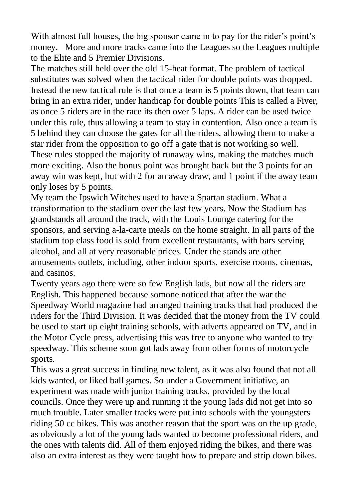With almost full houses, the big sponsor came in to pay for the rider's point's money. More and more tracks came into the Leagues so the Leagues multiple to the Elite and 5 Premier Divisions.

The matches still held over the old 15-heat format. The problem of tactical substitutes was solved when the tactical rider for double points was dropped. Instead the new tactical rule is that once a team is 5 points down, that team can bring in an extra rider, under handicap for double points This is called a Fiver, as once 5 riders are in the race its then over 5 laps. A rider can be used twice under this rule, thus allowing a team to stay in contention. Also once a team is 5 behind they can choose the gates for all the riders, allowing them to make a star rider from the opposition to go off a gate that is not working so well. These rules stopped the majority of runaway wins, making the matches much more exciting. Also the bonus point was brought back but the 3 points for an away win was kept, but with 2 for an away draw, and 1 point if the away team only loses by 5 points.

My team the Ipswich Witches used to have a Spartan stadium. What a transformation to the stadium over the last few years. Now the Stadium has grandstands all around the track, with the Louis Lounge catering for the sponsors, and serving a-la-carte meals on the home straight. In all parts of the stadium top class food is sold from excellent restaurants, with bars serving alcohol, and all at very reasonable prices. Under the stands are other amusements outlets, including, other indoor sports, exercise rooms, cinemas, and casinos.

Twenty years ago there were so few English lads, but now all the riders are English. This happened because somone noticed that after the war the Speedway World magazine had arranged training tracks that had produced the riders for the Third Division. It was decided that the money from the TV could be used to start up eight training schools, with adverts appeared on TV, and in the Motor Cycle press, advertising this was free to anyone who wanted to try speedway. This scheme soon got lads away from other forms of motorcycle sports.

This was a great success in finding new talent, as it was also found that not all kids wanted, or liked ball games. So under a Government initiative, an experiment was made with junior training tracks, provided by the local councils. Once they were up and running it the young lads did not get into so much trouble. Later smaller tracks were put into schools with the youngsters riding 50 cc bikes. This was another reason that the sport was on the up grade, as obviously a lot of the young lads wanted to become professional riders, and the ones with talents did. All of them enjoyed riding the bikes, and there was also an extra interest as they were taught how to prepare and strip down bikes.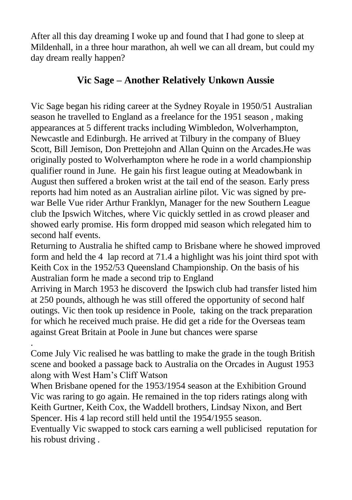After all this day dreaming I woke up and found that I had gone to sleep at Mildenhall, in a three hour marathon, ah well we can all dream, but could my day dream really happen?

#### **Vic Sage – Another Relatively Unkown Aussie**

Vic Sage began his riding career at the Sydney Royale in 1950/51 Australian season he travelled to England as a freelance for the 1951 season , making appearances at 5 different tracks including Wimbledon, Wolverhampton, Newcastle and Edinburgh. He arrived at Tilbury in the company of Bluey Scott, Bill Jemison, Don Prettejohn and Allan Quinn on the Arcades.He was originally posted to Wolverhampton where he rode in a world championship qualifier round in June. He gain his first league outing at Meadowbank in August then suffered a broken wrist at the tail end of the season. Early press reports had him noted as an Australian airline pilot. Vic was signed by prewar Belle Vue rider Arthur Franklyn, Manager for the new Southern League club the Ipswich Witches, where Vic quickly settled in as crowd pleaser and showed early promise. His form dropped mid season which relegated him to second half events.

Returning to Australia he shifted camp to Brisbane where he showed improved form and held the 4 lap record at 71.4 a highlight was his joint third spot with Keith Cox in the 1952/53 Queensland Championship. On the basis of his Australian form he made a second trip to England

Arriving in March 1953 he discoverd the Ipswich club had transfer listed him at 250 pounds, although he was still offered the opportunity of second half outings. Vic then took up residence in Poole, taking on the track preparation for which he received much praise. He did get a ride for the Overseas team against Great Britain at Poole in June but chances were sparse

. Come July Vic realised he was battling to make the grade in the tough British scene and booked a passage back to Australia on the Orcades in August 1953 along with West Ham's Cliff Watson

When Brisbane opened for the 1953/1954 season at the Exhibition Ground Vic was raring to go again. He remained in the top riders ratings along with Keith Gurtner, Keith Cox, the Waddell brothers, Lindsay Nixon, and Bert Spencer. His 4 lap record still held until the 1954/1955 season.

Eventually Vic swapped to stock cars earning a well publicised reputation for his robust driving .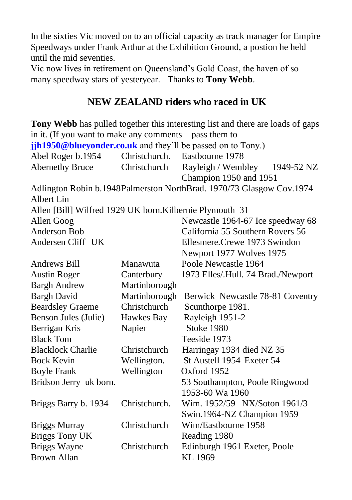In the sixties Vic moved on to an official capacity as track manager for Empire Speedways under Frank Arthur at the Exhibition Ground, a postion he held until the mid seventies.

Vic now lives in retirement on Queensland's Gold Coast, the haven of so many speedway stars of yesteryear. Thanks to **Tony Webb**.

# **NEW ZEALAND riders who raced in UK**

|                                                             |               | Tony Webb has pulled together this interesting list and there are loads of gaps |  |  |  |  |  |  |
|-------------------------------------------------------------|---------------|---------------------------------------------------------------------------------|--|--|--|--|--|--|
| in it. (If you want to make any comments $-$ pass them to   |               |                                                                                 |  |  |  |  |  |  |
| jih1950@blueyonder.co.uk and they'll be passed on to Tony.) |               |                                                                                 |  |  |  |  |  |  |
| Abel Roger b.1954                                           | Christchurch. | Eastbourne 1978                                                                 |  |  |  |  |  |  |
| <b>Abernethy Bruce</b>                                      | Christchurch  | Rayleigh / Wembley<br>1949-52 NZ                                                |  |  |  |  |  |  |
|                                                             |               | Champion 1950 and 1951                                                          |  |  |  |  |  |  |
|                                                             |               | Adlington Robin b.1948Palmerston NorthBrad. 1970/73 Glasgow Cov.1974            |  |  |  |  |  |  |
| Albert Lin                                                  |               |                                                                                 |  |  |  |  |  |  |
| Allen [Bill] Wilfred 1929 UK born. Kilbernie Plymouth 31    |               |                                                                                 |  |  |  |  |  |  |
| Allen Goog                                                  |               | Newcastle 1964-67 Ice speedway 68                                               |  |  |  |  |  |  |
| <b>Anderson Bob</b>                                         |               | California 55 Southern Rovers 56                                                |  |  |  |  |  |  |
| Andersen Cliff UK                                           |               | Ellesmere.Crewe 1973 Swindon                                                    |  |  |  |  |  |  |
|                                                             |               | Newport 1977 Wolves 1975                                                        |  |  |  |  |  |  |
| Andrews Bill                                                | Manawuta      | Poole Newcastle 1964                                                            |  |  |  |  |  |  |
| <b>Austin Roger</b>                                         | Canterbury    | 1973 Elles/.Hull. 74 Brad./Newport                                              |  |  |  |  |  |  |
| <b>Bargh Andrew</b>                                         | Martinborough |                                                                                 |  |  |  |  |  |  |
| <b>Bargh David</b>                                          | Martinborough | Berwick Newcastle 78-81 Coventry                                                |  |  |  |  |  |  |
| <b>Beardsley Graeme</b>                                     | Christchurch  | Scunthorpe 1981.                                                                |  |  |  |  |  |  |
| Benson Jules (Julie)                                        | Hawkes Bay    | Rayleigh 1951-2                                                                 |  |  |  |  |  |  |
| Berrigan Kris                                               | Napier        | <b>Stoke 1980</b>                                                               |  |  |  |  |  |  |
| <b>Black Tom</b>                                            |               | Teeside 1973                                                                    |  |  |  |  |  |  |
| <b>Blacklock Charlie</b>                                    | Christchurch  | Harringay 1934 died NZ 35                                                       |  |  |  |  |  |  |
| <b>Bock Kevin</b>                                           | Wellington.   | St Austell 1954 Exeter 54                                                       |  |  |  |  |  |  |
| <b>Boyle Frank</b>                                          | Wellington    | Oxford 1952                                                                     |  |  |  |  |  |  |
| Bridson Jerry uk born.                                      |               | 53 Southampton, Poole Ringwood                                                  |  |  |  |  |  |  |
|                                                             |               | 1953-60 Wa 1960                                                                 |  |  |  |  |  |  |
| Briggs Barry b. 1934                                        | Christchurch. | Wim. 1952/59 NX/Soton 1961/3                                                    |  |  |  |  |  |  |
|                                                             |               | Swin.1964-NZ Champion 1959                                                      |  |  |  |  |  |  |
| <b>Briggs Murray</b>                                        | Christchurch  | Wim/Eastbourne 1958                                                             |  |  |  |  |  |  |
| <b>Briggs Tony UK</b>                                       |               | Reading 1980                                                                    |  |  |  |  |  |  |
| Briggs Wayne                                                | Christchurch  | Edinburgh 1961 Exeter, Poole                                                    |  |  |  |  |  |  |
| <b>Brown Allan</b>                                          |               | KL 1969                                                                         |  |  |  |  |  |  |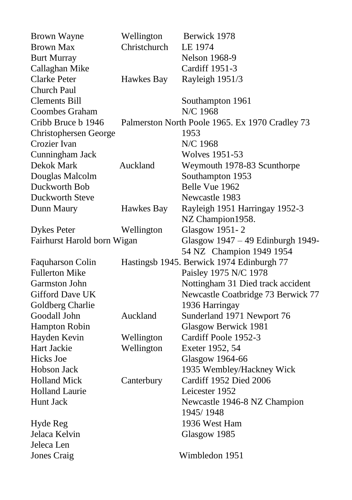| <b>Brown Wayne</b>          | Wellington   | Berwick 1978                                    |  |  |  |  |
|-----------------------------|--------------|-------------------------------------------------|--|--|--|--|
| <b>Brown Max</b>            | Christchurch | LE 1974                                         |  |  |  |  |
| <b>Burt Murray</b>          |              | <b>Nelson 1968-9</b>                            |  |  |  |  |
| Callaghan Mike              |              | Cardiff 1951-3                                  |  |  |  |  |
| Clarke Peter                | Hawkes Bay   | Rayleigh 1951/3                                 |  |  |  |  |
| Church Paul                 |              |                                                 |  |  |  |  |
| <b>Clements Bill</b>        |              | Southampton 1961                                |  |  |  |  |
| <b>Coombes Graham</b>       |              | N/C 1968                                        |  |  |  |  |
| Cribb Bruce b 1946          |              | Palmerston North Poole 1965. Ex 1970 Cradley 73 |  |  |  |  |
| Christophersen George       |              | 1953                                            |  |  |  |  |
| Crozier Ivan                |              | N/C 1968                                        |  |  |  |  |
| Cunningham Jack             |              | <b>Wolves 1951-53</b>                           |  |  |  |  |
| Dekok Mark                  | Auckland     | Weymouth 1978-83 Scunthorpe                     |  |  |  |  |
| Douglas Malcolm             |              | Southampton 1953                                |  |  |  |  |
| Duckworth Bob               |              | Belle Vue 1962                                  |  |  |  |  |
| Duckworth Steve             |              | Newcastle 1983                                  |  |  |  |  |
| Dunn Maury                  | Hawkes Bay   | Rayleigh 1951 Harringay 1952-3                  |  |  |  |  |
|                             |              | NZ Champion1958.                                |  |  |  |  |
| <b>Dykes Peter</b>          | Wellington   | Glasgow 1951-2                                  |  |  |  |  |
| Fairhurst Harold born Wigan |              | Glasgow 1947 - 49 Edinburgh 1949-               |  |  |  |  |
|                             |              | 54 NZ Champion 1949 1954                        |  |  |  |  |
| Faquharson Colin            |              | Hastingsb 1945. Berwick 1974 Edinburgh 77       |  |  |  |  |
| <b>Fullerton Mike</b>       |              | Paisley 1975 N/C 1978                           |  |  |  |  |
| <b>Garmston John</b>        |              | Nottingham 31 Died track accident               |  |  |  |  |
| Gifford Dave UK             |              | Newcastle Coatbridge 73 Berwick 77              |  |  |  |  |
| Goldberg Charlie            |              | 1936 Harringay                                  |  |  |  |  |
| Goodall John                | Auckland     | Sunderland 1971 Newport 76                      |  |  |  |  |
| Hampton Robin               |              | Glasgow Berwick 1981                            |  |  |  |  |
| Hayden Kevin                | Wellington   | Cardiff Poole 1952-3                            |  |  |  |  |
| Hart Jackie                 | Wellington   | Exeter 1952, 54                                 |  |  |  |  |
| <b>Hicks</b> Joe            |              | Glasgow 1964-66                                 |  |  |  |  |
| Hobson Jack                 |              | 1935 Wembley/Hackney Wick                       |  |  |  |  |
| <b>Holland Mick</b>         | Canterbury   | Cardiff 1952 Died 2006                          |  |  |  |  |
| <b>Holland Laurie</b>       |              | Leicester 1952                                  |  |  |  |  |
| Hunt Jack                   |              | Newcastle 1946-8 NZ Champion                    |  |  |  |  |
|                             |              | 1945/1948                                       |  |  |  |  |
| Hyde Reg                    |              | 1936 West Ham                                   |  |  |  |  |
| Jelaca Kelvin               |              | Glasgow 1985                                    |  |  |  |  |
| Jeleca Len                  |              |                                                 |  |  |  |  |
| <b>Jones Craig</b>          |              | Wimbledon 1951                                  |  |  |  |  |
|                             |              |                                                 |  |  |  |  |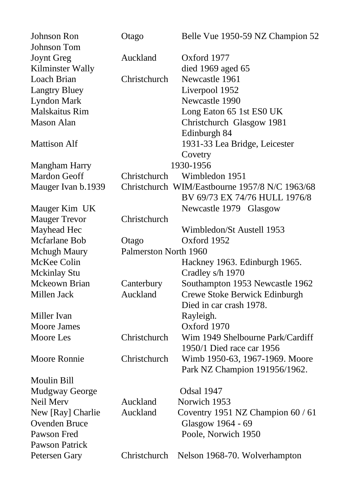| <b>Johnson Ron</b>    | Otago                 | Belle Vue 1950-59 NZ Champion 52               |
|-----------------------|-----------------------|------------------------------------------------|
| Johnson Tom           |                       |                                                |
| <b>Joynt Greg</b>     | Auckland              | Oxford 1977                                    |
| Kilminster Wally      |                       | died 1969 aged 65                              |
| Loach Brian           | Christchurch          | Newcastle 1961                                 |
| <b>Langtry Bluey</b>  |                       | Liverpool 1952                                 |
| <b>Lyndon Mark</b>    |                       | Newcastle 1990                                 |
| <b>Malskaitus Rim</b> |                       | Long Eaton 65 1st ES0 UK                       |
| <b>Mason Alan</b>     |                       | Christchurch Glasgow 1981                      |
|                       |                       | Edinburgh 84                                   |
| <b>Mattison Alf</b>   |                       | 1931-33 Lea Bridge, Leicester                  |
|                       |                       | Covetry                                        |
| Mangham Harry         |                       | 1930-1956                                      |
| Mardon Geoff          | Christchurch          | Wimbledon 1951                                 |
| Mauger Ivan b.1939    |                       | Christchurch WIM/Eastbourne 1957/8 N/C 1963/68 |
|                       |                       | BV 69/73 EX 74/76 HULL 1976/8                  |
| Mauger Kim UK         |                       | Newcastle 1979 Glasgow                         |
| <b>Mauger Trevor</b>  | Christchurch          |                                                |
| Mayhead Hec           |                       | Wimbledon/St Austell 1953                      |
| Mcfarlane Bob         | Otago                 | Oxford 1952                                    |
| <b>Mchugh Maury</b>   | Palmerston North 1960 |                                                |
| McKee Colin           |                       | Hackney 1963. Edinburgh 1965.                  |
| Mckinlay Stu          |                       | Cradley s/h 1970                               |
| Mckeown Brian         | Canterbury            | Southampton 1953 Newcastle 1962                |
| Millen Jack           | Auckland              | Crewe Stoke Berwick Edinburgh                  |
|                       |                       | Died in car crash 1978.                        |
| Miller Ivan           |                       | Rayleigh.                                      |
| <b>Moore James</b>    |                       | Oxford 1970                                    |
| <b>Moore</b> Les      | Christchurch          | Wim 1949 Shelbourne Park/Cardiff               |
|                       |                       | 1950/1 Died race car 1956                      |
| Moore Ronnie          | Christchurch          | Wimb 1950-63, 1967-1969. Moore                 |
|                       |                       | Park NZ Champion 191956/1962.                  |
| Moulin Bill           |                       |                                                |
| Mudgway George        |                       | Odsal 1947                                     |
| Neil Merv             | Auckland              | Norwich 1953                                   |
| New [Ray] Charlie     | Auckland              | Coventry 1951 NZ Champion 60 / 61              |
| Ovenden Bruce         |                       | Glasgow 1964 - 69                              |
| Pawson Fred           |                       | Poole, Norwich 1950                            |
| Pawson Patrick        |                       |                                                |
| Petersen Gary         | Christchurch          | Nelson 1968-70. Wolverhampton                  |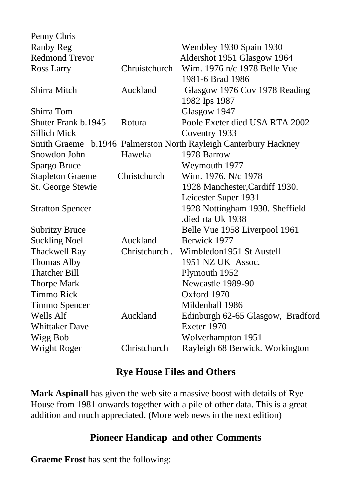| Penny Chris             |               |                                                                  |  |  |  |  |
|-------------------------|---------------|------------------------------------------------------------------|--|--|--|--|
| Ranby Reg               |               | Wembley 1930 Spain 1930                                          |  |  |  |  |
| <b>Redmond Trevor</b>   |               | Aldershot 1951 Glasgow 1964                                      |  |  |  |  |
| Ross Larry              | Chruistchurch | Wim. 1976 n/c 1978 Belle Vue                                     |  |  |  |  |
|                         |               | 1981-6 Brad 1986                                                 |  |  |  |  |
| Shirra Mitch            | Auckland      | Glasgow 1976 Cov 1978 Reading                                    |  |  |  |  |
|                         |               | 1982 Ips 1987                                                    |  |  |  |  |
| Shirra Tom              |               | Glasgow 1947                                                     |  |  |  |  |
| Shuter Frank b.1945     | Rotura        | Poole Exeter died USA RTA 2002                                   |  |  |  |  |
| Sillich Mick            |               | Coventry 1933                                                    |  |  |  |  |
|                         |               | Smith Graeme b.1946 Palmerston North Rayleigh Canterbury Hackney |  |  |  |  |
| Snowdon John            | Haweka        | 1978 Barrow                                                      |  |  |  |  |
| Spargo Bruce            |               | Weymouth 1977                                                    |  |  |  |  |
| <b>Stapleton Graeme</b> | Christchurch  | Wim. 1976. N/c 1978                                              |  |  |  |  |
| St. George Stewie       |               | 1928 Manchester, Cardiff 1930.                                   |  |  |  |  |
|                         |               | Leicester Super 1931                                             |  |  |  |  |
| <b>Stratton Spencer</b> |               | 1928 Nottingham 1930. Sheffield                                  |  |  |  |  |
|                         |               | died rta Uk 1938.                                                |  |  |  |  |
| <b>Subritzy Bruce</b>   |               | Belle Vue 1958 Liverpool 1961                                    |  |  |  |  |
| <b>Suckling Noel</b>    | Auckland      | Berwick 1977                                                     |  |  |  |  |
| <b>Thackwell Ray</b>    | Christchurch. | Wimbledon1951 St Austell                                         |  |  |  |  |
| Thomas Alby             |               | 1951 NZ UK Assoc.                                                |  |  |  |  |
| <b>Thatcher Bill</b>    |               | Plymouth 1952                                                    |  |  |  |  |
| <b>Thorpe Mark</b>      |               | Newcastle 1989-90                                                |  |  |  |  |
| Timmo Rick              |               | Oxford 1970                                                      |  |  |  |  |
| Timmo Spencer           |               | Mildenhall 1986                                                  |  |  |  |  |
| Wells Alf               | Auckland      | Edinburgh 62-65 Glasgow, Bradford                                |  |  |  |  |
| <b>Whittaker Dave</b>   |               | Exeter 1970                                                      |  |  |  |  |
| Wigg Bob                |               | Wolverhampton 1951                                               |  |  |  |  |
| Wright Roger            | Christchurch  | Rayleigh 68 Berwick. Workington                                  |  |  |  |  |
|                         |               |                                                                  |  |  |  |  |

#### **Rye House Files and Others**

**Mark Aspinall** has given the web site a massive boost with details of Rye House from 1981 onwards together with a pile of other data. This is a great addition and much appreciated. (More web news in the next edition)

# **Pioneer Handicap and other Comments**

**Graeme Frost** has sent the following: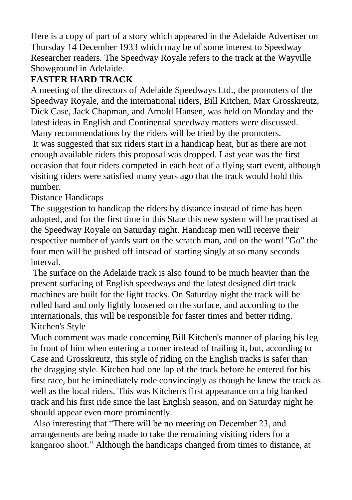Here is a copy of part of a story which appeared in the Adelaide Advertiser on Thursday 14 December 1933 which may be of some interest to Speedway Researcher readers. The Speedway Royale refers to the track at the Wayville Showground in Adelaide.

# **FASTER HARD TRACK**

A meeting of the directors of Adelaide Speedways Ltd., the promoters of the Speedway Royale, and the international riders, Bill Kitchen, Max Grosskreutz, Dick Case, Jack Chapman, and Arnold Hansen, was held on Monday and the latest ideas in English and Continental speedway matters were discussed. Many recommendations by the riders will be tried by the promoters.

It was suggested that six riders start in a handicap heat, but as there are not enough available riders this proposal was dropped. Last year was the first occasion that four riders competed in each heat of a flying start event, although visiting riders were satisfied many years ago that the track would hold this number.

Distance Handicaps

The suggestion to handicap the riders by distance instead of time has been adopted, and for the first time in this State this new system will be practised at the Speedway Royale on Saturday night. Handicap men will receive their respective number of yards start on the scratch man, and on the word "Go" the four men will be pushed off intsead of starting singly at so many seconds interval.

The surface on the Adelaide track is also found to be much heavier than the present surfacing of English speedways and the latest designed dirt track machines are built for the light tracks. On Saturday night the track will be rolled hard and only lightly loosened on the surface, and according to the internationals, this will be responsible for faster times and better riding. Kitchen's Style

Much comment was made concerning Bill Kitchen's manner of placing his leg in front of him when entering a corner instead of trailing it, but, according to Case and Grosskreutz, this style of riding on the English tracks is safer than the dragging style. Kitchen had one lap of the track before he entered for his first race, but he iminediately rode convincingly as though he knew the track as well as the local riders. This was Kitchen's first appearance on a big banked track and his first ride since the last English season, and on Saturday night he should appear even more prominently.

Also interesting that "There will be no meeting on December 23, and arrangements are being made to take the remaining visiting riders for a kangaroo shoot." Although the handicaps changed from times to distance, at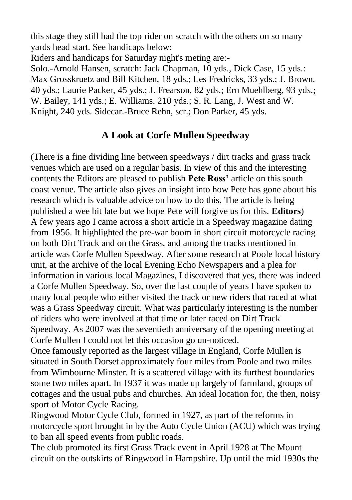this stage they still had the top rider on scratch with the others on so many yards head start. See handicaps below:

Riders and handicaps for Saturday night's meting are:-

Solo.-Arnold Hansen, scratch: Jack Chapman, 10 yds., Dick Case, 15 yds.: Max Grosskruetz and Bill Kitchen, 18 yds.; Les Fredricks, 33 yds.; J. Brown. 40 yds.; Laurie Packer, 45 yds.; J. Frearson, 82 yds.; Ern Muehlberg, 93 yds.; W. Bailey, 141 yds.; E. Williams. 210 yds.; S. R. Lang, J. West and W. Knight, 240 yds. Sidecar.-Bruce Rehn, scr.; Don Parker, 45 yds.

# **A Look at Corfe Mullen Speedway**

(There is a fine dividing line between speedways / dirt tracks and grass track venues which are used on a regular basis. In view of this and the interesting contents the Editors are pleased to publish **Pete Ross'** article on this south coast venue. The article also gives an insight into how Pete has gone about his research which is valuable advice on how to do this. The article is being published a wee bit late but we hope Pete will forgive us for this. **Editors**) A few years ago I came across a short article in a Speedway magazine dating from 1956. It highlighted the pre-war boom in short circuit motorcycle racing on both Dirt Track and on the Grass, and among the tracks mentioned in article was Corfe Mullen Speedway. After some research at Poole local history unit, at the archive of the local Evening Echo Newspapers and a plea for information in various local Magazines, I discovered that yes, there was indeed a Corfe Mullen Speedway. So, over the last couple of years I have spoken to many local people who either visited the track or new riders that raced at what was a Grass Speedway circuit. What was particularly interesting is the number of riders who were involved at that time or later raced on Dirt Track Speedway. As 2007 was the seventieth anniversary of the opening meeting at Corfe Mullen I could not let this occasion go un-noticed.

Once famously reported as the largest village in England, Corfe Mullen is situated in South Dorset approximately four miles from Poole and two miles from Wimbourne Minster. It is a scattered village with its furthest boundaries some two miles apart. In 1937 it was made up largely of farmland, groups of cottages and the usual pubs and churches. An ideal location for, the then, noisy sport of Motor Cycle Racing.

Ringwood Motor Cycle Club, formed in 1927, as part of the reforms in motorcycle sport brought in by the Auto Cycle Union (ACU) which was trying to ban all speed events from public roads.

The club promoted its first Grass Track event in April 1928 at The Mount circuit on the outskirts of Ringwood in Hampshire. Up until the mid 1930s the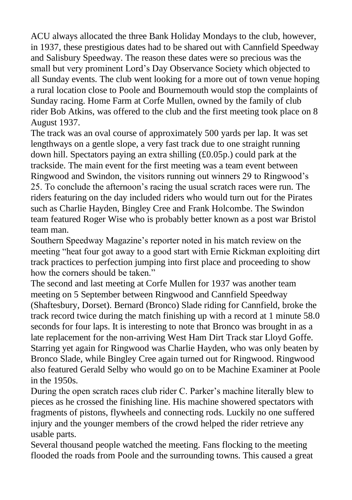ACU always allocated the three Bank Holiday Mondays to the club, however, in 1937, these prestigious dates had to be shared out with Cannfield Speedway and Salisbury Speedway. The reason these dates were so precious was the small but very prominent Lord's Day Observance Society which objected to all Sunday events. The club went looking for a more out of town venue hoping a rural location close to Poole and Bournemouth would stop the complaints of Sunday racing. Home Farm at Corfe Mullen, owned by the family of club rider Bob Atkins, was offered to the club and the first meeting took place on 8 August 1937.

The track was an oval course of approximately 500 yards per lap. It was set lengthways on a gentle slope, a very fast track due to one straight running down hill. Spectators paying an extra shilling (£0.05p.) could park at the trackside. The main event for the first meeting was a team event between Ringwood and Swindon, the visitors running out winners 29 to Ringwood's 25. To conclude the afternoon's racing the usual scratch races were run. The riders featuring on the day included riders who would turn out for the Pirates such as Charlie Hayden, Bingley Cree and Frank Holcombe. The Swindon team featured Roger Wise who is probably better known as a post war Bristol team man.

Southern Speedway Magazine's reporter noted in his match review on the meeting "heat four got away to a good start with Ernie Rickman exploiting dirt track practices to perfection jumping into first place and proceeding to show how the corners should be taken."

The second and last meeting at Corfe Mullen for 1937 was another team meeting on 5 September between Ringwood and Cannfield Speedway (Shaftesbury, Dorset). Bernard (Bronco) Slade riding for Cannfield, broke the track record twice during the match finishing up with a record at 1 minute 58.0 seconds for four laps. It is interesting to note that Bronco was brought in as a late replacement for the non-arriving West Ham Dirt Track star Lloyd Goffe. Starring yet again for Ringwood was Charlie Hayden, who was only beaten by Bronco Slade, while Bingley Cree again turned out for Ringwood. Ringwood also featured Gerald Selby who would go on to be Machine Examiner at Poole in the 1950s.

During the open scratch races club rider C. Parker's machine literally blew to pieces as he crossed the finishing line. His machine showered spectators with fragments of pistons, flywheels and connecting rods. Luckily no one suffered injury and the younger members of the crowd helped the rider retrieve any usable parts.

Several thousand people watched the meeting. Fans flocking to the meeting flooded the roads from Poole and the surrounding towns. This caused a great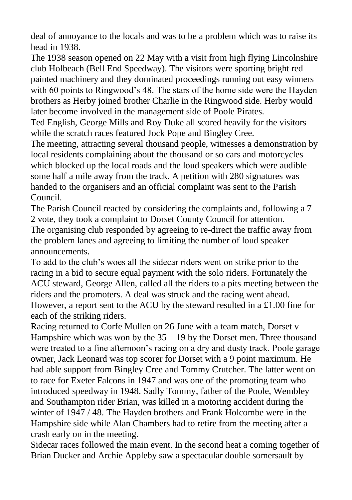deal of annoyance to the locals and was to be a problem which was to raise its head in 1938.

The 1938 season opened on 22 May with a visit from high flying Lincolnshire club Holbeach (Bell End Speedway). The visitors were sporting bright red painted machinery and they dominated proceedings running out easy winners with 60 points to Ringwood's 48. The stars of the home side were the Hayden brothers as Herby joined brother Charlie in the Ringwood side. Herby would later become involved in the management side of Poole Pirates.

Ted English, George Mills and Roy Duke all scored heavily for the visitors while the scratch races featured Jock Pope and Bingley Cree.

The meeting, attracting several thousand people, witnesses a demonstration by local residents complaining about the thousand or so cars and motorcycles which blocked up the local roads and the loud speakers which were audible some half a mile away from the track. A petition with 280 signatures was handed to the organisers and an official complaint was sent to the Parish Council.

The Parish Council reacted by considering the complaints and, following a 7 – 2 vote, they took a complaint to Dorset County Council for attention. The organising club responded by agreeing to re-direct the traffic away from the problem lanes and agreeing to limiting the number of loud speaker announcements.

To add to the club's woes all the sidecar riders went on strike prior to the racing in a bid to secure equal payment with the solo riders. Fortunately the ACU steward, George Allen, called all the riders to a pits meeting between the riders and the promoters. A deal was struck and the racing went ahead. However, a report sent to the ACU by the steward resulted in a £1.00 fine for each of the striking riders.

Racing returned to Corfe Mullen on 26 June with a team match, Dorset v Hampshire which was won by the  $35 - 19$  by the Dorset men. Three thousand were treated to a fine afternoon's racing on a dry and dusty track. Poole garage owner, Jack Leonard was top scorer for Dorset with a 9 point maximum. He had able support from Bingley Cree and Tommy Crutcher. The latter went on to race for Exeter Falcons in 1947 and was one of the promoting team who introduced speedway in 1948. Sadly Tommy, father of the Poole, Wembley and Southampton rider Brian, was killed in a motoring accident during the winter of 1947 / 48. The Hayden brothers and Frank Holcombe were in the Hampshire side while Alan Chambers had to retire from the meeting after a crash early on in the meeting.

Sidecar races followed the main event. In the second heat a coming together of Brian Ducker and Archie Appleby saw a spectacular double somersault by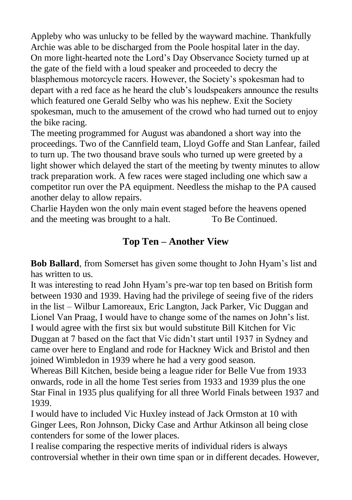Appleby who was unlucky to be felled by the wayward machine. Thankfully Archie was able to be discharged from the Poole hospital later in the day. On more light-hearted note the Lord's Day Observance Society turned up at the gate of the field with a loud speaker and proceeded to decry the blasphemous motorcycle racers. However, the Society's spokesman had to depart with a red face as he heard the club's loudspeakers announce the results which featured one Gerald Selby who was his nephew. Exit the Society spokesman, much to the amusement of the crowd who had turned out to enjoy the bike racing.

The meeting programmed for August was abandoned a short way into the proceedings. Two of the Cannfield team, Lloyd Goffe and Stan Lanfear, failed to turn up. The two thousand brave souls who turned up were greeted by a light shower which delayed the start of the meeting by twenty minutes to allow track preparation work. A few races were staged including one which saw a competitor run over the PA equipment. Needless the mishap to the PA caused another delay to allow repairs.

Charlie Hayden won the only main event staged before the heavens opened and the meeting was brought to a halt. To Be Continued.

# **Top Ten – Another View**

**Bob Ballard**, from Somerset has given some thought to John Hyam's list and has written to us.

It was interesting to read John Hyam's pre-war top ten based on British form between 1930 and 1939. Having had the privilege of seeing five of the riders in the list – Wilbur Lamoreaux, Eric Langton, Jack Parker, Vic Duggan and Lionel Van Praag, I would have to change some of the names on John's list. I would agree with the first six but would substitute Bill Kitchen for Vic Duggan at 7 based on the fact that Vic didn't start until 1937 in Sydney and came over here to England and rode for Hackney Wick and Bristol and then joined Wimbledon in 1939 where he had a very good season.

Whereas Bill Kitchen, beside being a league rider for Belle Vue from 1933 onwards, rode in all the home Test series from 1933 and 1939 plus the one Star Final in 1935 plus qualifying for all three World Finals between 1937 and 1939.

I would have to included Vic Huxley instead of Jack Ormston at 10 with Ginger Lees, Ron Johnson, Dicky Case and Arthur Atkinson all being close contenders for some of the lower places.

I realise comparing the respective merits of individual riders is always controversial whether in their own time span or in different decades. However,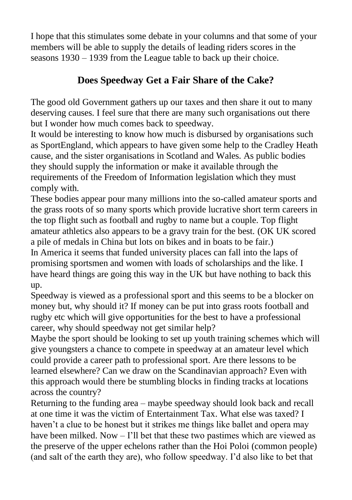I hope that this stimulates some debate in your columns and that some of your members will be able to supply the details of leading riders scores in the seasons 1930 – 1939 from the League table to back up their choice.

# **Does Speedway Get a Fair Share of the Cake?**

The good old Government gathers up our taxes and then share it out to many deserving causes. I feel sure that there are many such organisations out there but I wonder how much comes back to speedway.

It would be interesting to know how much is disbursed by organisations such as SportEngland, which appears to have given some help to the Cradley Heath cause, and the sister organisations in Scotland and Wales. As public bodies they should supply the information or make it available through the requirements of the Freedom of Information legislation which they must comply with.

These bodies appear pour many millions into the so-called amateur sports and the grass roots of so many sports which provide lucrative short term careers in the top flight such as football and rugby to name but a couple. Top flight amateur athletics also appears to be a gravy train for the best. (OK UK scored a pile of medals in China but lots on bikes and in boats to be fair.) In America it seems that funded university places can fall into the laps of promising sportsmen and women with loads of scholarships and the like. I have heard things are going this way in the UK but have nothing to back this up.

Speedway is viewed as a professional sport and this seems to be a blocker on money but, why should it? If money can be put into grass roots football and rugby etc which will give opportunities for the best to have a professional career, why should speedway not get similar help?

Maybe the sport should be looking to set up youth training schemes which will give youngsters a chance to compete in speedway at an amateur level which could provide a career path to professional sport. Are there lessons to be learned elsewhere? Can we draw on the Scandinavian approach? Even with this approach would there be stumbling blocks in finding tracks at locations across the country?

Returning to the funding area – maybe speedway should look back and recall at one time it was the victim of Entertainment Tax. What else was taxed? I haven't a clue to be honest but it strikes me things like ballet and opera may have been milked. Now – I'll bet that these two pastimes which are viewed as the preserve of the upper echelons rather than the Hoi Poloi (common people) (and salt of the earth they are), who follow speedway. I'd also like to bet that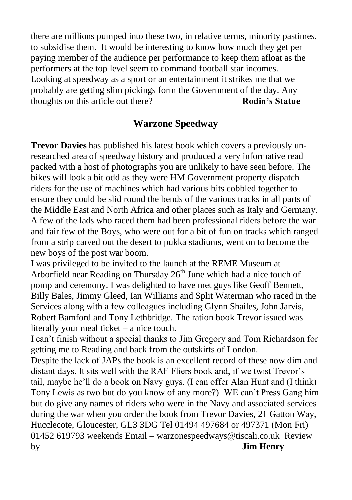there are millions pumped into these two, in relative terms, minority pastimes, to subsidise them. It would be interesting to know how much they get per paying member of the audience per performance to keep them afloat as the performers at the top level seem to command football star incomes. Looking at speedway as a sport or an entertainment it strikes me that we probably are getting slim pickings form the Government of the day. Any thoughts on this article out there? **Rodin's Statue**

#### **Warzone Speedway**

**Trevor Davies** has published his latest book which covers a previously unresearched area of speedway history and produced a very informative read packed with a host of photographs you are unlikely to have seen before. The bikes will look a bit odd as they were HM Government property dispatch riders for the use of machines which had various bits cobbled together to ensure they could be slid round the bends of the various tracks in all parts of the Middle East and North Africa and other places such as Italy and Germany. A few of the lads who raced them had been professional riders before the war and fair few of the Boys, who were out for a bit of fun on tracks which ranged from a strip carved out the desert to pukka stadiums, went on to become the new boys of the post war boom.

I was privileged to be invited to the launch at the REME Museum at Arborfield near Reading on Thursday  $26<sup>th</sup>$  June which had a nice touch of pomp and ceremony. I was delighted to have met guys like Geoff Bennett, Billy Bales, Jimmy Gleed, Ian Williams and Split Waterman who raced in the Services along with a few colleagues including Glynn Shailes, John Jarvis, Robert Bamford and Tony Lethbridge. The ration book Trevor issued was literally your meal ticket – a nice touch.

I can't finish without a special thanks to Jim Gregory and Tom Richardson for getting me to Reading and back from the outskirts of London.

Despite the lack of JAPs the book is an excellent record of these now dim and distant days. It sits well with the RAF Fliers book and, if we twist Trevor's tail, maybe he'll do a book on Navy guys. (I can offer Alan Hunt and (I think) Tony Lewis as two but do you know of any more?) WE can't Press Gang him but do give any names of riders who were in the Navy and associated services during the war when you order the book from Trevor Davies, 21 Gatton Way, Hucclecote, Gloucester, GL3 3DG Tel 01494 497684 or 497371 (Mon Fri) 01452 619793 weekends Email – warzonespeedways@tiscali.co.uk Review by **Jim Henry**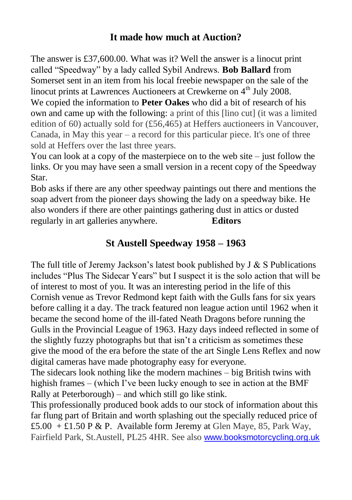# **It made how much at Auction?**

The answer is £37,600.00. What was it? Well the answer is a linocut print called "Speedway" by a lady called Sybil Andrews. **Bob Ballard** from Somerset sent in an item from his local freebie newspaper on the sale of the linocut prints at Lawrences Auctioneers at Crewkerne on 4<sup>th</sup> July 2008. We copied the information to **Peter Oakes** who did a bit of research of his own and came up with the following: a print of this [lino cut] (it was a limited edition of 60) actually sold for (£56,465) at Heffers auctioneers in Vancouver, Canada, in May this year – a record for this particular piece. It's one of three sold at Heffers over the last three years.

You can look at a copy of the masterpiece on to the web site – just follow the links. Or you may have seen a small version in a recent copy of the Speedway Star.

Bob asks if there are any other speedway paintings out there and mentions the soap advert from the pioneer days showing the lady on a speedway bike. He also wonders if there are other paintings gathering dust in attics or dusted regularly in art galleries anywhere. **Editors**

### **St Austell Speedway 1958 – 1963**

The full title of Jeremy Jackson's latest book published by  $J & S$  Publications includes "Plus The Sidecar Years" but I suspect it is the solo action that will be of interest to most of you. It was an interesting period in the life of this Cornish venue as Trevor Redmond kept faith with the Gulls fans for six years before calling it a day. The track featured non league action until 1962 when it became the second home of the ill-fated Neath Dragons before running the Gulls in the Provincial League of 1963. Hazy days indeed reflected in some of the slightly fuzzy photographs but that isn't a criticism as sometimes these give the mood of the era before the state of the art Single Lens Reflex and now digital cameras have made photography easy for everyone.

The sidecars look nothing like the modern machines – big British twins with highish frames – (which I've been lucky enough to see in action at the BMF Rally at Peterborough) – and which still go like stink.

This professionally produced book adds to our stock of information about this far flung part of Britain and worth splashing out the specially reduced price of £5.00 + £1.50 P & P. Available form Jeremy at Glen Maye, 85, Park Way, Fairfield Park, St.Austell, PL25 4HR. See also [www.booksmotorcycling.org.uk](http://www.booksmotorcycling.org.uk/)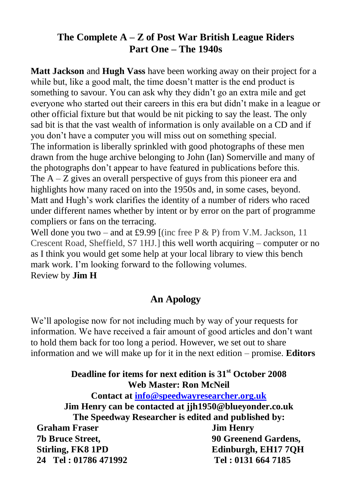# **The Complete A – Z of Post War British League Riders Part One – The 1940s**

**Matt Jackson** and **Hugh Vass** have been working away on their project for a while but, like a good malt, the time doesn't matter is the end product is something to savour. You can ask why they didn't go an extra mile and get everyone who started out their careers in this era but didn't make in a league or other official fixture but that would be nit picking to say the least. The only sad bit is that the vast wealth of information is only available on a CD and if you don't have a computer you will miss out on something special. The information is liberally sprinkled with good photographs of these men drawn from the huge archive belonging to John (Ian) Somerville and many of the photographs don't appear to have featured in publications before this. The  $A - Z$  gives an overall perspective of guys from this pioneer era and highlights how many raced on into the 1950s and, in some cases, beyond. Matt and Hugh's work clarifies the identity of a number of riders who raced under different names whether by intent or by error on the part of programme compliers or fans on the terracing.

Well done you two – and at £9.99 [(inc free P  $\&$  P) from V.M. Jackson, 11 Crescent Road, Sheffield, S7 1HJ.] this well worth acquiring – computer or no as I think you would get some help at your local library to view this bench mark work. I'm looking forward to the following volumes. Review by **Jim H**

### **An Apology**

We'll apologise now for not including much by way of your requests for information. We have received a fair amount of good articles and don't want to hold them back for too long a period. However, we set out to share information and we will make up for it in the next edition – promise. **Editors**

#### **Deadline for items for next edition is 31st October 2008 Web Master: Ron McNeil Contact at [info@speedwayresearcher.org.uk](mailto:info@speedwayresearcher.org.uk)**

**Jim Henry can be contacted at jjh1950@blueyonder.co.uk The Speedway Researcher is edited and published by: Graham Fraser Jim Henry 7b Bruce Street, 90 Greenend Gardens, Stirling, FK8 1PD Edinburgh, EH17 7QH 24 Tel : 01786 471992 Tel : 0131 664 7185**